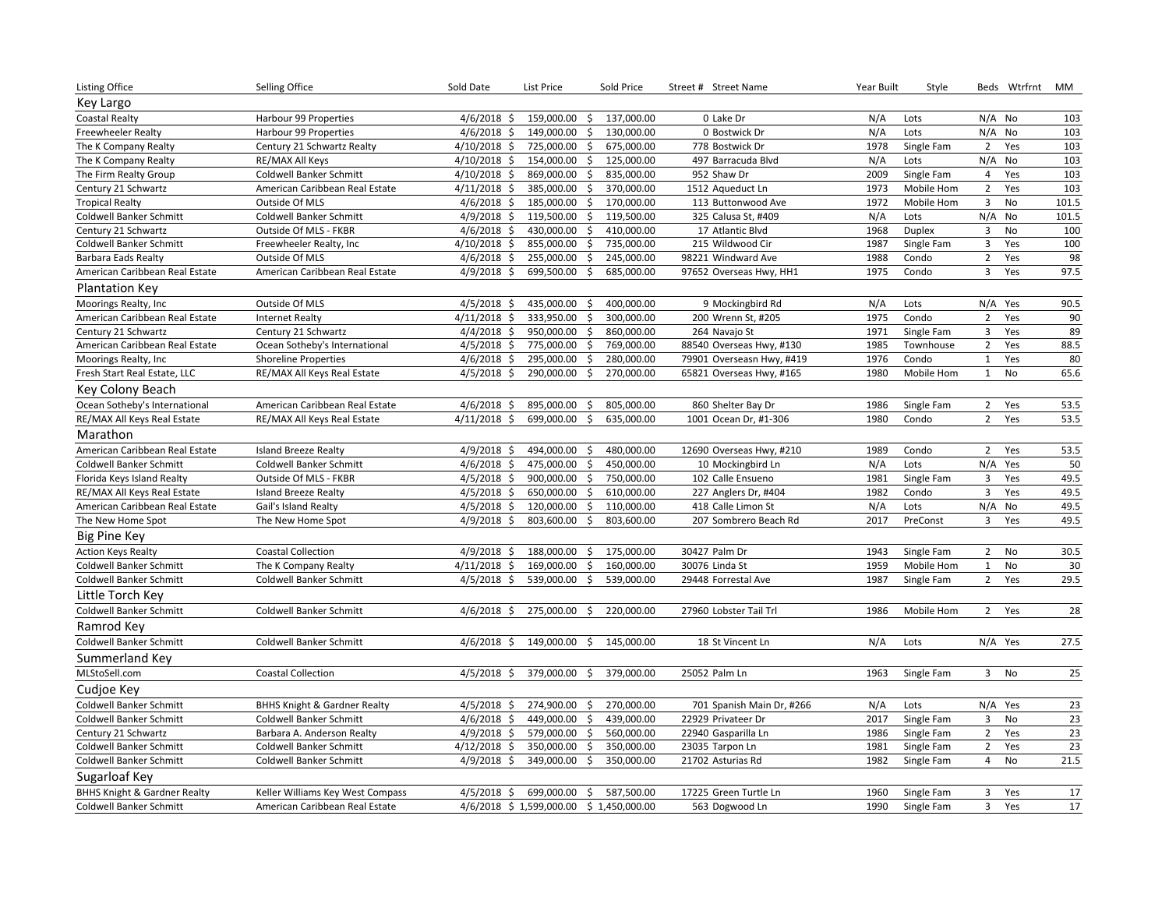| Listing Office                          | Selling Office                          | Sold Date      | List Price                             | Sold Price                 | Street # Street Name      | Year Built | Style         |                | Beds Wtrfrnt | MM    |
|-----------------------------------------|-----------------------------------------|----------------|----------------------------------------|----------------------------|---------------------------|------------|---------------|----------------|--------------|-------|
| Key Largo                               |                                         |                |                                        |                            |                           |            |               |                |              |       |
| <b>Coastal Realty</b>                   | Harbour 99 Properties                   | $4/6/2018$ \$  | 159,000.00<br>$\frac{1}{2}$            | 137,000.00                 | 0 Lake Dr                 | N/A        | Lots          | $N/A$ No       |              | 103   |
| Freewheeler Realty                      | Harbour 99 Properties                   | $4/6/2018$ \$  | 149,000.00<br>\$                       | 130,000.00                 | 0 Bostwick Dr             | N/A        | Lots          | N/A            | <b>No</b>    | 103   |
| The K Company Realty                    | Century 21 Schwartz Realty              | $4/10/2018$ \$ | $\ddot{\mathsf{S}}$<br>725,000.00      | 675,000.00                 | 778 Bostwick Dr           | 1978       | Single Fam    | $\overline{2}$ | Yes          | 103   |
| The K Company Realty                    | RE/MAX All Keys                         | $4/10/2018$ \$ | 154,000.00<br>$\frac{1}{2}$            | 125,000.00                 | 497 Barracuda Blvd        | N/A        | Lots          | N/A            | No           | 103   |
| The Firm Realty Group                   | Coldwell Banker Schmitt                 | $4/10/2018$ \$ | $\frac{1}{2}$<br>869,000.00            | 835,000.00                 | 952 Shaw Dr               | 2009       | Single Fam    | $\overline{4}$ | Yes          | 103   |
| Century 21 Schwartz                     | American Caribbean Real Estate          | $4/11/2018$ \$ | 385,000.00<br>\$                       | 370,000.00                 | 1512 Aqueduct Ln          | 1973       | Mobile Hom    | $\overline{2}$ | Yes          | 103   |
| <b>Tropical Realty</b>                  | Outside Of MLS                          | $4/6/2018$ \$  | 185,000.00                             | $\mathsf{S}$<br>170,000.00 | 113 Buttonwood Ave        | 1972       | Mobile Hom    | $\overline{3}$ | <b>No</b>    | 101.5 |
| Coldwell Banker Schmitt                 | Coldwell Banker Schmitt                 | $4/9/2018$ \$  | 119,500.00<br>\$                       | 119,500.00                 | 325 Calusa St, #409       | N/A        | Lots          | N/A            | No           | 101.5 |
| Century 21 Schwartz                     | Outside Of MLS - FKBR                   | $4/6/2018$ \$  | 430,000.00<br>\$                       | 410,000.00                 | 17 Atlantic Blvd          | 1968       | <b>Duplex</b> | 3              | <b>No</b>    | 100   |
| Coldwell Banker Schmitt                 | Freewheeler Realty, Inc                 | $4/10/2018$ \$ | 855,000.00<br>$\ddot{\mathsf{S}}$      | 735,000.00                 | 215 Wildwood Cir          | 1987       | Single Fam    | $\overline{3}$ | Yes          | 100   |
| Barbara Eads Realty                     | Outside Of MLS                          | $4/6/2018$ \$  | 255,000.00<br>$\ddot{\mathsf{S}}$      | 245,000.00                 | 98221 Windward Ave        | 1988       | Condo         | $\overline{2}$ | Yes          | 98    |
| American Caribbean Real Estate          | American Caribbean Real Estate          | $4/9/2018$ \$  | 699,500.00<br>\$                       | 685,000.00                 | 97652 Overseas Hwy, HH1   | 1975       | Condo         | $\overline{3}$ | Yes          | 97.5  |
| <b>Plantation Key</b>                   |                                         |                |                                        |                            |                           |            |               |                |              |       |
| Moorings Realty, Inc                    | Outside Of MLS                          | $4/5/2018$ \$  | 435,000.00<br>\$                       | 400,000.00                 | 9 Mockingbird Rd          | N/A        | Lots          |                | N/A Yes      | 90.5  |
| American Caribbean Real Estate          | <b>Internet Realty</b>                  | $4/11/2018$ \$ | 333,950.00<br>\$                       | 300,000.00                 | 200 Wrenn St, #205        | 1975       | Condo         | 2              | Yes          | 90    |
| Century 21 Schwartz                     | Century 21 Schwartz                     | $4/4/2018$ \$  | \$<br>950,000.00                       | 860,000.00                 | 264 Navajo St             | 1971       | Single Fam    | $\mathbf{3}$   | Yes          | 89    |
| American Caribbean Real Estate          | Ocean Sotheby's International           | $4/5/2018$ \$  | 775,000.00<br>\$                       | 769,000.00                 | 88540 Overseas Hwy, #130  | 1985       | Townhouse     | $\overline{2}$ | Yes          | 88.5  |
| Moorings Realty, Inc                    | <b>Shoreline Properties</b>             | $4/6/2018$ \$  | 295,000.00<br>\$                       | 280,000.00                 | 79901 Overseasn Hwy, #419 | 1976       | Condo         | $\mathbf 1$    | Yes          | 80    |
| Fresh Start Real Estate, LLC            | RE/MAX All Keys Real Estate             | 4/5/2018 \$    | 290,000.00<br>$\mathsf{\hat{S}}$       | 270,000.00                 | 65821 Overseas Hwy, #165  | 1980       | Mobile Hom    | $\mathbf 1$    | No           | 65.6  |
| Key Colony Beach                        |                                         |                |                                        |                            |                           |            |               |                |              |       |
| Ocean Sotheby's International           | American Caribbean Real Estate          | $4/6/2018$ \$  | 895,000.00 \$                          | 805,000.00                 | 860 Shelter Bay Dr        | 1986       | Single Fam    | $\overline{2}$ | Yes          | 53.5  |
| RE/MAX All Keys Real Estate             | RE/MAX All Keys Real Estate             | $4/11/2018$ \$ | 699,000.00<br>\$                       | 635,000.00                 | 1001 Ocean Dr, #1-306     | 1980       | Condo         | $\overline{2}$ | Yes          | 53.5  |
| Marathon                                |                                         |                |                                        |                            |                           |            |               |                |              |       |
| American Caribbean Real Estate          | <b>Island Breeze Realty</b>             | $4/9/2018$ \$  | 494,000.00<br>\$                       | 480,000.00                 | 12690 Overseas Hwy, #210  | 1989       | Condo         | $\overline{2}$ | Yes          | 53.5  |
| Coldwell Banker Schmitt                 | Coldwell Banker Schmitt                 | $4/6/2018$ \$  | \$<br>475,000.00                       | 450,000.00                 | 10 Mockingbird Ln         | N/A        | Lots          | N/A            | Yes          | 50    |
| Florida Keys Island Realty              | Outside Of MLS - FKBR                   | $4/5/2018$ \$  | 900,000.00<br>$\ddot{\mathsf{S}}$      | 750,000.00                 | 102 Calle Ensueno         | 1981       | Single Fam    | 3              | Yes          | 49.5  |
| RE/MAX All Keys Real Estate             | <b>Island Breeze Realty</b>             | $4/5/2018$ \$  | 650,000.00<br>\$                       | 610,000.00                 | 227 Anglers Dr, #404      | 1982       | Condo         | 3              | Yes          | 49.5  |
| American Caribbean Real Estate          | Gail's Island Realty                    | $4/5/2018$ \$  | 120,000.00                             | $\mathsf{S}$<br>110,000.00 | 418 Calle Limon St        | N/A        | Lots          | N/A No         |              | 49.5  |
| The New Home Spot                       | The New Home Spot                       | $4/9/2018$ \$  | 803,600.00<br>\$                       | 803,600.00                 | 207 Sombrero Beach Rd     | 2017       | PreConst      | $\overline{3}$ | Yes          | 49.5  |
| <b>Big Pine Key</b>                     |                                         |                |                                        |                            |                           |            |               |                |              |       |
| <b>Action Keys Realty</b>               | <b>Coastal Collection</b>               | $4/9/2018$ \$  | 188,000.00 \$                          | 175,000.00                 | 30427 Palm Dr             | 1943       | Single Fam    | $\overline{2}$ | No           | 30.5  |
| <b>Coldwell Banker Schmitt</b>          | The K Company Realty                    | $4/11/2018$ \$ | 169,000.00<br>\$                       | 160,000.00                 | 30076 Linda St            | 1959       | Mobile Hom    | $\mathbf{1}$   | No           | 30    |
| Coldwell Banker Schmitt                 | <b>Coldwell Banker Schmitt</b>          | $4/5/2018$ \$  | 539,000.00<br>Ŝ.                       | 539,000.00                 | 29448 Forrestal Ave       | 1987       | Single Fam    | $\overline{2}$ | Yes          | 29.5  |
| Little Torch Key                        |                                         |                |                                        |                            |                           |            |               |                |              |       |
| <b>Coldwell Banker Schmitt</b>          | Coldwell Banker Schmitt                 | $4/6/2018$ \$  | 275,000.00 \$                          | 220,000.00                 | 27960 Lobster Tail Trl    | 1986       | Mobile Hom    | $\overline{2}$ | Yes          | 28    |
| Ramrod Key                              |                                         |                |                                        |                            |                           |            |               |                |              |       |
| <b>Coldwell Banker Schmitt</b>          | Coldwell Banker Schmitt                 | $4/6/2018$ \$  | 149,000.00<br>$\frac{1}{2}$            | 145,000.00                 | 18 St Vincent Ln          | N/A        | Lots          | N/A Yes        |              | 27.5  |
| Summerland Key                          |                                         |                |                                        |                            |                           |            |               |                |              |       |
| MLStoSell.com                           | <b>Coastal Collection</b>               | $4/5/2018$ \$  | 379,000.00<br>\$                       | 379,000.00                 | 25052 Palm Ln             | 1963       | Single Fam    | 3 <sup>7</sup> | No           | 25    |
| Cudjoe Key                              |                                         |                |                                        |                            |                           |            |               |                |              |       |
| <b>Coldwell Banker Schmitt</b>          | <b>BHHS Knight &amp; Gardner Realty</b> | $4/5/2018$ \$  | 274,900.00<br>\$                       | 270,000.00                 | 701 Spanish Main Dr, #266 | N/A        | Lots          | N/A Yes        |              | 23    |
| <b>Coldwell Banker Schmitt</b>          | Coldwell Banker Schmitt                 | $4/6/2018$ \$  | 449,000.00 \$                          | 439,000.00                 | 22929 Privateer Dr        | 2017       | Single Fam    | 3              | No           | 23    |
| Century 21 Schwartz                     | Barbara A. Anderson Realty              | $4/9/2018$ \$  | 579,000.00<br>$\frac{1}{2}$            | 560,000.00                 | 22940 Gasparilla Ln       | 1986       | Single Fam    | $\overline{2}$ | Yes          | 23    |
| Coldwell Banker Schmitt                 | Coldwell Banker Schmitt                 | $4/12/2018$ \$ | 350,000.00<br>\$                       | 350,000.00                 | 23035 Tarpon Ln           | 1981       | Single Fam    | $\overline{2}$ | Yes          | 23    |
| Coldwell Banker Schmitt                 | Coldwell Banker Schmitt                 | $4/9/2018$ \$  | 349,000.00<br>S.                       | 350,000.00                 | 21702 Asturias Rd         | 1982       | Single Fam    | $\overline{4}$ | <b>No</b>    | 21.5  |
| Sugarloaf Key                           |                                         |                |                                        |                            |                           |            |               |                |              |       |
| <b>BHHS Knight &amp; Gardner Realty</b> | Keller Williams Key West Compass        | $4/5/2018$ \$  | 699,000.00 \$                          | 587,500.00                 | 17225 Green Turtle Ln     | 1960       | Single Fam    | 3              | Yes          | 17    |
| Coldwell Banker Schmitt                 | American Caribbean Real Estate          |                | 4/6/2018 \$1,599,000.00 \$1,450,000.00 |                            | 563 Dogwood Ln            | 1990       | Single Fam    | $\overline{3}$ | Yes          | 17    |